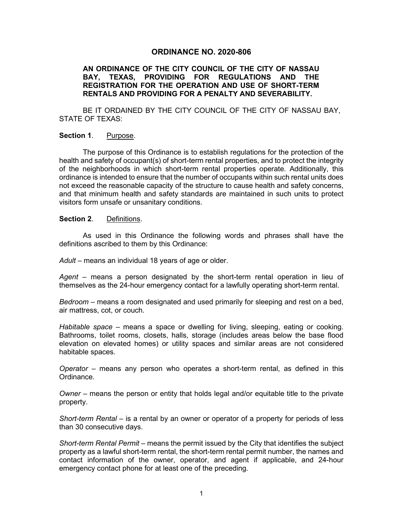## **ORDINANCE NO. 2020-806**

### **AN ORDINANCE OF THE CITY COUNCIL OF THE CITY OF NASSAU BAY, TEXAS, PROVIDING FOR REGULATIONS AND THE REGISTRATION FOR THE OPERATION AND USE OF SHORT-TERM RENTALS AND PROVIDING FOR A PENALTY AND SEVERABILITY.**

BE IT ORDAINED BY THE CITY COUNCIL OF THE CITY OF NASSAU BAY, STATE OF TEXAS:

### **Section 1**. Purpose.

The purpose of this Ordinance is to establish regulations for the protection of the health and safety of occupant(s) of short-term rental properties, and to protect the integrity of the neighborhoods in which short-term rental properties operate. Additionally, this ordinance is intended to ensure that the number of occupants within such rental units does not exceed the reasonable capacity of the structure to cause health and safety concerns, and that minimum health and safety standards are maintained in such units to protect visitors form unsafe or unsanitary conditions.

#### **Section 2**. Definitions.

As used in this Ordinance the following words and phrases shall have the definitions ascribed to them by this Ordinance:

Adult – means an individual 18 years of age or older.

*Agent* – means a person designated by the short-term rental operation in lieu of themselves as the 24-hour emergency contact for a lawfully operating short-term rental.

*Bedroom* – means a room designated and used primarily for sleeping and rest on a bed, air mattress, cot, or couch.

*Habitable space –* means a space or dwelling for living, sleeping, eating or cooking. Bathrooms, toilet rooms, closets, halls, storage (includes areas below the base flood elevation on elevated homes) or utility spaces and similar areas are not considered habitable spaces.

*Operator* – means any person who operates a short-term rental, as defined in this Ordinance.

*Owner* – means the person or entity that holds legal and/or equitable title to the private property.

*Short-term Rental* – is a rental by an owner or operator of a property for periods of less than 30 consecutive days.

*Short-term Rental Permit* – means the permit issued by the City that identifies the subject property as a lawful short-term rental, the short-term rental permit number, the names and contact information of the owner, operator, and agent if applicable, and 24-hour emergency contact phone for at least one of the preceding.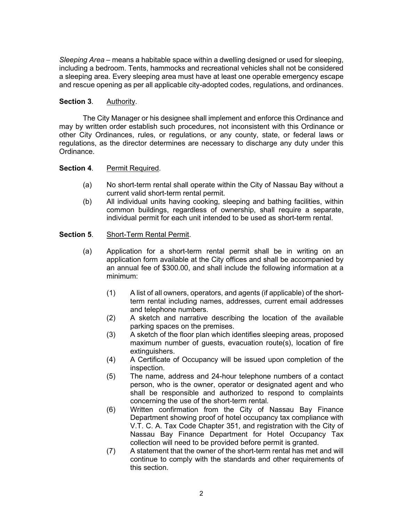*Sleeping Area* – means a habitable space within a dwelling designed or used for sleeping, including a bedroom. Tents, hammocks and recreational vehicles shall not be considered a sleeping area. Every sleeping area must have at least one operable emergency escape and rescue opening as per all applicable city-adopted codes, regulations, and ordinances.

# **Section 3**. Authority.

The City Manager or his designee shall implement and enforce this Ordinance and may by written order establish such procedures, not inconsistent with this Ordinance or other City Ordinances, rules, or regulations, or any county, state, or federal laws or regulations, as the director determines are necessary to discharge any duty under this Ordinance.

# **Section 4.** Permit Required.

- (a) No short-term rental shall operate within the City of Nassau Bay without a current valid short-term rental permit.
- (b) All individual units having cooking, sleeping and bathing facilities, within common buildings, regardless of ownership, shall require a separate, individual permit for each unit intended to be used as short-term rental.

# **Section 5**. Short-Term Rental Permit.

- (a) Application for a short-term rental permit shall be in writing on an application form available at the City offices and shall be accompanied by an annual fee of \$300.00, and shall include the following information at a minimum:
	- (1) A list of all owners, operators, and agents (if applicable) of the shortterm rental including names, addresses, current email addresses and telephone numbers.
	- (2) A sketch and narrative describing the location of the available parking spaces on the premises.
	- (3) A sketch of the floor plan which identifies sleeping areas, proposed maximum number of guests, evacuation route(s), location of fire extinguishers.
	- (4) A Certificate of Occupancy will be issued upon completion of the inspection.
	- (5) The name, address and 24-hour telephone numbers of a contact person, who is the owner, operator or designated agent and who shall be responsible and authorized to respond to complaints concerning the use of the short-term rental.
	- (6) Written confirmation from the City of Nassau Bay Finance Department showing proof of hotel occupancy tax compliance with V.T. C. A. Tax Code Chapter 351, and registration with the City of Nassau Bay Finance Department for Hotel Occupancy Tax collection will need to be provided before permit is granted.
	- (7) A statement that the owner of the short-term rental has met and will continue to comply with the standards and other requirements of this section.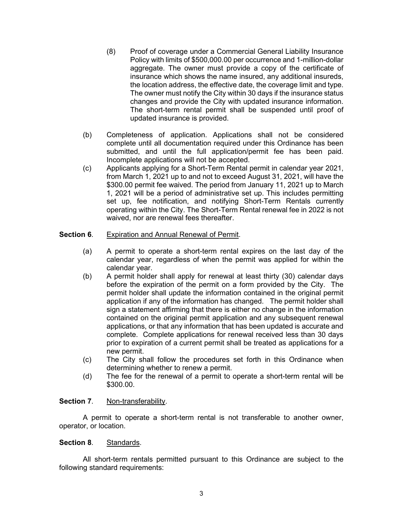- (8) Proof of coverage under a Commercial General Liability Insurance Policy with limits of \$500,000.00 per occurrence and 1-million-dollar aggregate. The owner must provide a copy of the certificate of insurance which shows the name insured, any additional insureds, the location address, the effective date, the coverage limit and type. The owner must notify the City within 30 days if the insurance status changes and provide the City with updated insurance information. The short-term rental permit shall be suspended until proof of updated insurance is provided.
- (b) Completeness of application. Applications shall not be considered complete until all documentation required under this Ordinance has been submitted, and until the full application/permit fee has been paid. Incomplete applications will not be accepted.
- (c) Applicants applying for a Short-Term Rental permit in calendar year 2021, from March 1, 2021 up to and not to exceed August 31, 2021, will have the \$300.00 permit fee waived. The period from January 11, 2021 up to March 1, 2021 will be a period of administrative set up. This includes permitting set up, fee notification, and notifying Short-Term Rentals currently operating within the City. The Short-Term Rental renewal fee in 2022 is not waived, nor are renewal fees thereafter.

### **Section 6**. Expiration and Annual Renewal of Permit.

- (a) A permit to operate a short-term rental expires on the last day of the calendar year, regardless of when the permit was applied for within the calendar year.
- (b) A permit holder shall apply for renewal at least thirty (30) calendar days before the expiration of the permit on a form provided by the City. The permit holder shall update the information contained in the original permit application if any of the information has changed. The permit holder shall sign a statement affirming that there is either no change in the information contained on the original permit application and any subsequent renewal applications, or that any information that has been updated is accurate and complete. Complete applications for renewal received less than 30 days prior to expiration of a current permit shall be treated as applications for a new permit.
- (c) The City shall follow the procedures set forth in this Ordinance when determining whether to renew a permit.
- (d) The fee for the renewal of a permit to operate a short-term rental will be \$300.00.

### **Section 7.** Non-transferability.

A permit to operate a short-term rental is not transferable to another owner, operator, or location.

### **Section 8**. Standards.

All short-term rentals permitted pursuant to this Ordinance are subject to the following standard requirements: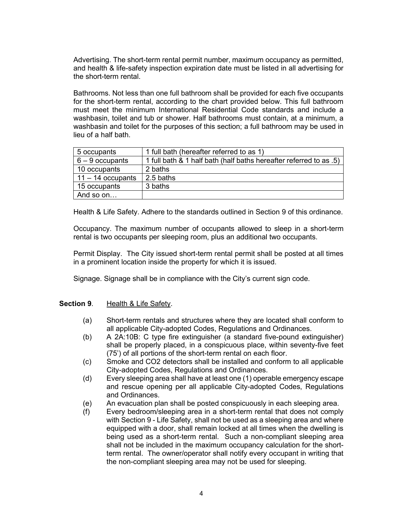Advertising. The short-term rental permit number, maximum occupancy as permitted, and health & life-safety inspection expiration date must be listed in all advertising for the short-term rental.

Bathrooms. Not less than one full bathroom shall be provided for each five occupants for the short-term rental, according to the chart provided below. This full bathroom must meet the minimum International Residential Code standards and include a washbasin, toilet and tub or shower. Half bathrooms must contain, at a minimum, a washbasin and toilet for the purposes of this section; a full bathroom may be used in lieu of a half bath.

| 5 occupants         | 1 full bath (hereafter referred to as 1)                           |
|---------------------|--------------------------------------------------------------------|
| $6 - 9$ occupants   | 1 full bath & 1 half bath (half baths hereafter referred to as .5) |
| 10 occupants        | 2 baths                                                            |
| $11 - 14$ occupants | 2.5 baths                                                          |
| 15 occupants        | 3 baths                                                            |
| And so on           |                                                                    |

Health & Life Safety. Adhere to the standards outlined in Section 9 of this ordinance.

Occupancy. The maximum number of occupants allowed to sleep in a short-term rental is two occupants per sleeping room, plus an additional two occupants.

Permit Display. The City issued short-term rental permit shall be posted at all times in a prominent location inside the property for which it is issued.

Signage. Signage shall be in compliance with the City's current sign code.

### **Section 9**. Health & Life Safety.

- (a) Short-term rentals and structures where they are located shall conform to all applicable City-adopted Codes, Regulations and Ordinances.
- (b) A 2A:10B: C type fire extinguisher (a standard five-pound extinguisher) shall be properly placed, in a conspicuous place, within seventy-five feet (75') of all portions of the short-term rental on each floor.
- (c) Smoke and CO2 detectors shall be installed and conform to all applicable City-adopted Codes, Regulations and Ordinances.
- (d) Every sleeping area shall have at least one (1) operable emergency escape and rescue opening per all applicable City-adopted Codes, Regulations and Ordinances.
- (e) An evacuation plan shall be posted conspicuously in each sleeping area.
- (f) Every bedroom/sleeping area in a short-term rental that does not comply with Section 9 - Life Safety, shall not be used as a sleeping area and where equipped with a door, shall remain locked at all times when the dwelling is being used as a short-term rental. Such a non-compliant sleeping area shall not be included in the maximum occupancy calculation for the shortterm rental. The owner/operator shall notify every occupant in writing that the non-compliant sleeping area may not be used for sleeping.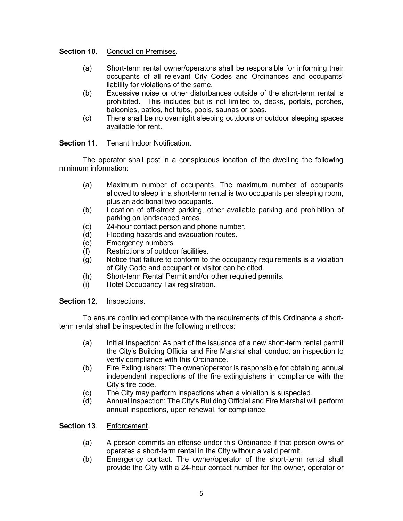**Section 10.** Conduct on Premises.

- (a) Short-term rental owner/operators shall be responsible for informing their occupants of all relevant City Codes and Ordinances and occupants' liability for violations of the same.
- (b) Excessive noise or other disturbances outside of the short-term rental is prohibited. This includes but is not limited to, decks, portals, porches, balconies, patios, hot tubs, pools, saunas or spas.
- (c) There shall be no overnight sleeping outdoors or outdoor sleeping spaces available for rent.

# **Section 11**. Tenant Indoor Notification.

The operator shall post in a conspicuous location of the dwelling the following minimum information:

- (a) Maximum number of occupants. The maximum number of occupants allowed to sleep in a short-term rental is two occupants per sleeping room, plus an additional two occupants.
- (b) Location of off-street parking, other available parking and prohibition of parking on landscaped areas.
- (c) 24-hour contact person and phone number.
- (d) Flooding hazards and evacuation routes.
- (e) Emergency numbers.
- (f) Restrictions of outdoor facilities.
- (g) Notice that failure to conform to the occupancy requirements is a violation of City Code and occupant or visitor can be cited.
- (h) Short-term Rental Permit and/or other required permits.
- (i) Hotel Occupancy Tax registration.

# **Section 12**. Inspections.

To ensure continued compliance with the requirements of this Ordinance a shortterm rental shall be inspected in the following methods:

- (a) Initial Inspection: As part of the issuance of a new short-term rental permit the City's Building Official and Fire Marshal shall conduct an inspection to verify compliance with this Ordinance.
- (b) Fire Extinguishers: The owner/operator is responsible for obtaining annual independent inspections of the fire extinguishers in compliance with the City's fire code.
- (c) The City may perform inspections when a violation is suspected.
- (d) Annual Inspection: The City's Building Official and Fire Marshal will perform annual inspections, upon renewal, for compliance.

# **Section 13**. Enforcement.

- (a) A person commits an offense under this Ordinance if that person owns or operates a short-term rental in the City without a valid permit.
- (b) Emergency contact. The owner/operator of the short-term rental shall provide the City with a 24-hour contact number for the owner, operator or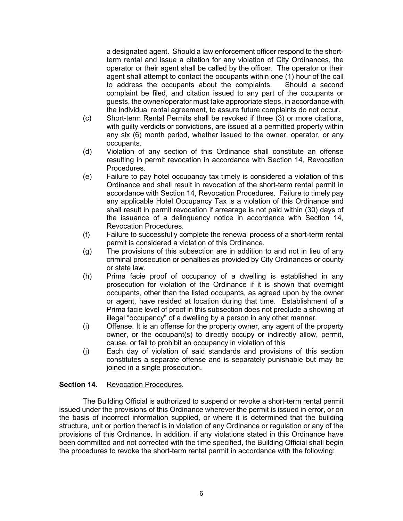a designated agent. Should a law enforcement officer respond to the shortterm rental and issue a citation for any violation of City Ordinances, the operator or their agent shall be called by the officer. The operator or their agent shall attempt to contact the occupants within one (1) hour of the call to address the occupants about the complaints. Should a second complaint be filed, and citation issued to any part of the occupants or guests, the owner/operator must take appropriate steps, in accordance with the individual rental agreement, to assure future complaints do not occur.

- (c) Short-term Rental Permits shall be revoked if three (3) or more citations, with guilty verdicts or convictions, are issued at a permitted property within any six (6) month period, whether issued to the owner, operator, or any occupants.
- (d) Violation of any section of this Ordinance shall constitute an offense resulting in permit revocation in accordance with Section 14, Revocation Procedures.
- (e) Failure to pay hotel occupancy tax timely is considered a violation of this Ordinance and shall result in revocation of the short-term rental permit in accordance with Section 14, Revocation Procedures. Failure to timely pay any applicable Hotel Occupancy Tax is a violation of this Ordinance and shall result in permit revocation if arrearage is not paid within (30) days of the issuance of a delinquency notice in accordance with Section 14, Revocation Procedures.
- (f) Failure to successfully complete the renewal process of a short-term rental permit is considered a violation of this Ordinance.
- (g) The provisions of this subsection are in addition to and not in lieu of any criminal prosecution or penalties as provided by City Ordinances or county or state law.
- (h) Prima facie proof of occupancy of a dwelling is established in any prosecution for violation of the Ordinance if it is shown that overnight occupants, other than the listed occupants, as agreed upon by the owner or agent, have resided at location during that time. Establishment of a Prima facie level of proof in this subsection does not preclude a showing of illegal "occupancy" of a dwelling by a person in any other manner.
- (i) Offense. It is an offense for the property owner, any agent of the property owner, or the occupant(s) to directly occupy or indirectly allow, permit, cause, or fail to prohibit an occupancy in violation of this
- (j) Each day of violation of said standards and provisions of this section constitutes a separate offense and is separately punishable but may be joined in a single prosecution.

# **Section 14.** Revocation Procedures.

The Building Official is authorized to suspend or revoke a short-term rental permit issued under the provisions of this Ordinance wherever the permit is issued in error, or on the basis of incorrect information supplied, or where it is determined that the building structure, unit or portion thereof is in violation of any Ordinance or regulation or any of the provisions of this Ordinance. In addition, if any violations stated in this Ordinance have been committed and not corrected with the time specified, the Building Official shall begin the procedures to revoke the short-term rental permit in accordance with the following: